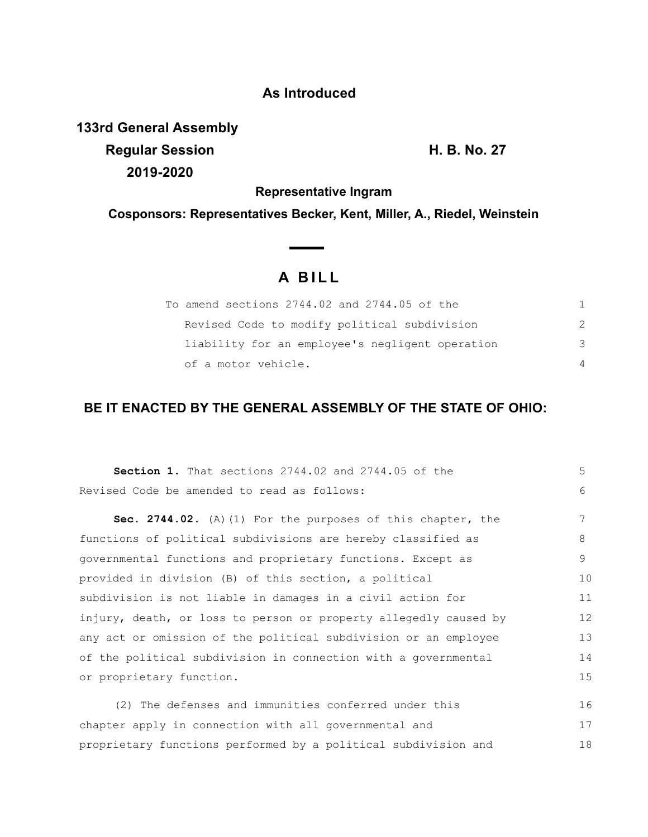### **As Introduced**

**133rd General Assembly**

**Regular Session H. B. No. 27 2019-2020**

**Representative Ingram**

**Cosponsors: Representatives Becker, Kent, Miller, A., Riedel, Weinstein**

 $\overline{\phantom{a}}$ 

# **A B I L L**

| To amend sections 2744.02 and 2744.05 of the    |               |
|-------------------------------------------------|---------------|
| Revised Code to modify political subdivision    | $\mathcal{P}$ |
| liability for an employee's negligent operation | 3             |
| of a motor vehicle.                             | 4             |

## **BE IT ENACTED BY THE GENERAL ASSEMBLY OF THE STATE OF OHIO:**

| <b>Section 1.</b> That sections 2744.02 and 2744.05 of the       | 5  |
|------------------------------------------------------------------|----|
| Revised Code be amended to read as follows:                      | 6  |
| Sec. 2744.02. (A) (1) For the purposes of this chapter, the      | 7  |
| functions of political subdivisions are hereby classified as     | 8  |
| governmental functions and proprietary functions. Except as      | 9  |
| provided in division (B) of this section, a political            | 10 |
| subdivision is not liable in damages in a civil action for       | 11 |
| injury, death, or loss to person or property allegedly caused by | 12 |
| any act or omission of the political subdivision or an employee  | 13 |
| of the political subdivision in connection with a governmental   | 14 |
| or proprietary function.                                         | 15 |
| (2) The defenses and immunities conferred under this             | 16 |
| chapter apply in connection with all governmental and            | 17 |
| proprietary functions performed by a political subdivision and   | 18 |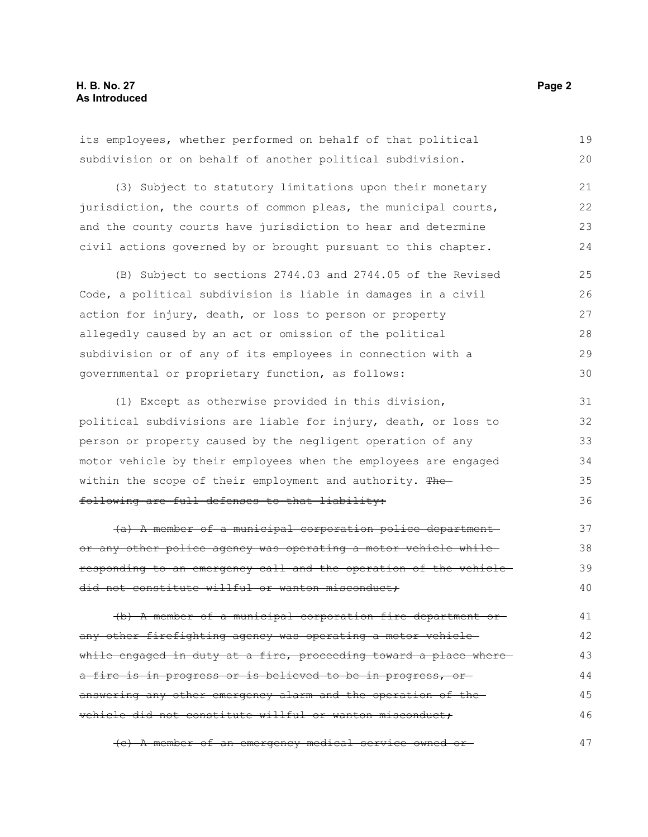its employees, whether performed on behalf of that political subdivision or on behalf of another political subdivision. 19 20

(3) Subject to statutory limitations upon their monetary jurisdiction, the courts of common pleas, the municipal courts, and the county courts have jurisdiction to hear and determine civil actions governed by or brought pursuant to this chapter. 21 22 23 24

(B) Subject to sections 2744.03 and 2744.05 of the Revised Code, a political subdivision is liable in damages in a civil action for injury, death, or loss to person or property allegedly caused by an act or omission of the political subdivision or of any of its employees in connection with a governmental or proprietary function, as follows: 25 26 27 28 29 30

(1) Except as otherwise provided in this division, political subdivisions are liable for injury, death, or loss to person or property caused by the negligent operation of any motor vehicle by their employees when the employees are engaged within the scope of their employment and authority. The following are full defenses to that liability: 31 32 33 34 35 36

(a) A member of a municipal corporation police department or any other police agency was operating a motor vehicle while responding to an emergency call and the operation of the vehicle did not constitute willful or wanton misconduct; 37 38 39 40

(b) A member of a municipal corporation fire department or any other firefighting agency was operating a motor vehicle while engaged in duty at a fire, proceeding toward a place wherea fire is in progress or is believed to be in progress, oranswering any other emergency alarm and the operation of the vehicle did not constitute willful or wanton misconduct; 41 42 43 44 45 46

(c) A member of an emergency medical service owned or 47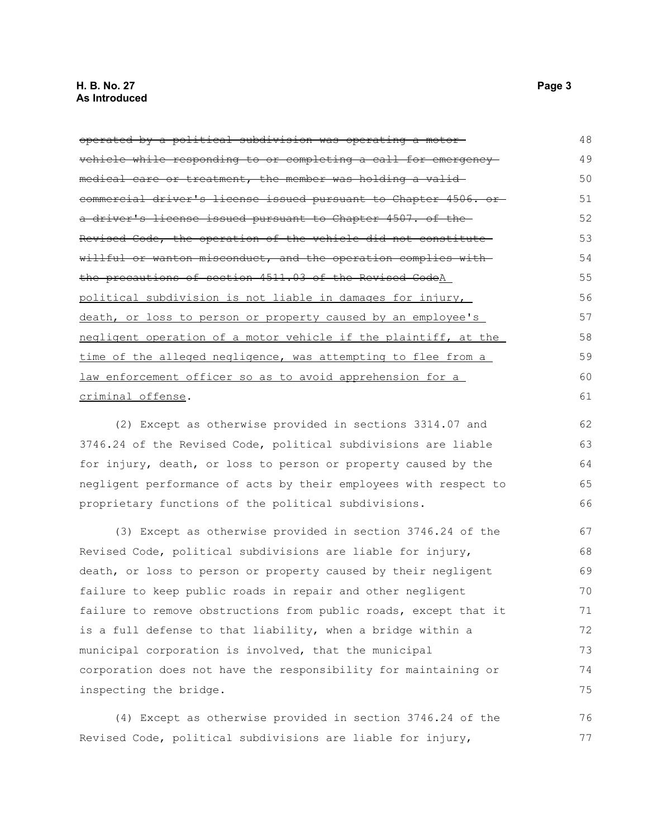operated by a political subdivision was operating a motor vehicle while responding to or completing a call for emergency medical care or treatment, the member was holding a validcommercial driver's license issued pursuant to Chapter 4506. or a driver's license issued pursuant to Chapter 4507. of the Revised Code, the operation of the vehicle did not constitute willful or wanton misconduct, and the operation complies with the precautions of section 4511.03 of the Revised CodeA political subdivision is not liable in damages for injury, death, or loss to person or property caused by an employee's negligent operation of a motor vehicle if the plaintiff, at the time of the alleged negligence, was attempting to flee from a law enforcement officer so as to avoid apprehension for a criminal offense. 48 49 50 51 52 53 54 55 56 57 58 59 60 61

(2) Except as otherwise provided in sections 3314.07 and 3746.24 of the Revised Code, political subdivisions are liable for injury, death, or loss to person or property caused by the negligent performance of acts by their employees with respect to proprietary functions of the political subdivisions.

(3) Except as otherwise provided in section 3746.24 of the Revised Code, political subdivisions are liable for injury, death, or loss to person or property caused by their negligent failure to keep public roads in repair and other negligent failure to remove obstructions from public roads, except that it is a full defense to that liability, when a bridge within a municipal corporation is involved, that the municipal corporation does not have the responsibility for maintaining or inspecting the bridge. 67 68 69 70 71 72 73 74 75

(4) Except as otherwise provided in section 3746.24 of the Revised Code, political subdivisions are liable for injury, 76 77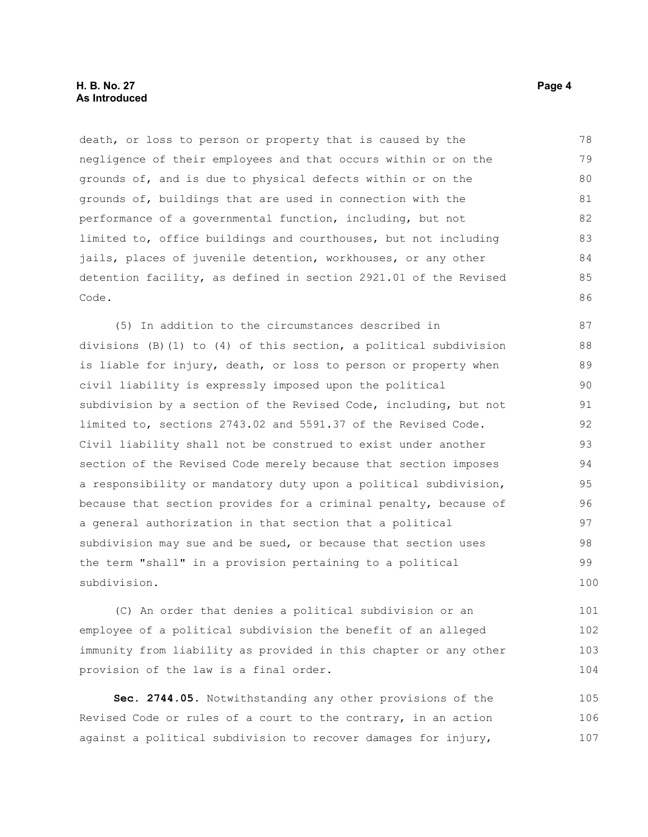death, or loss to person or property that is caused by the negligence of their employees and that occurs within or on the grounds of, and is due to physical defects within or on the grounds of, buildings that are used in connection with the performance of a governmental function, including, but not limited to, office buildings and courthouses, but not including jails, places of juvenile detention, workhouses, or any other detention facility, as defined in section 2921.01 of the Revised Code. 78 79 80 81 82 83 84 85 86

(5) In addition to the circumstances described in divisions (B)(1) to (4) of this section, a political subdivision is liable for injury, death, or loss to person or property when civil liability is expressly imposed upon the political subdivision by a section of the Revised Code, including, but not limited to, sections 2743.02 and 5591.37 of the Revised Code. Civil liability shall not be construed to exist under another section of the Revised Code merely because that section imposes a responsibility or mandatory duty upon a political subdivision, because that section provides for a criminal penalty, because of a general authorization in that section that a political subdivision may sue and be sued, or because that section uses the term "shall" in a provision pertaining to a political subdivision. 87 88 89 90 91 92 93 94 95 96 97 98 99 100

(C) An order that denies a political subdivision or an employee of a political subdivision the benefit of an alleged immunity from liability as provided in this chapter or any other provision of the law is a final order.

**Sec. 2744.05.** Notwithstanding any other provisions of the Revised Code or rules of a court to the contrary, in an action against a political subdivision to recover damages for injury, 105 106 107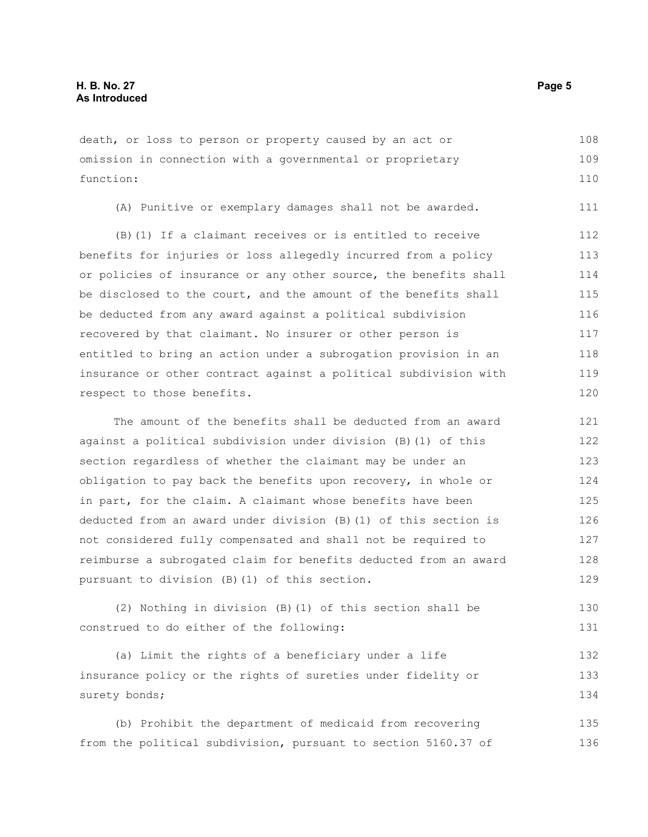death, or loss to person or property caused by an act or omission in connection with a governmental or proprietary function: 108 109 110

(A) Punitive or exemplary damages shall not be awarded. 111

(B)(1) If a claimant receives or is entitled to receive benefits for injuries or loss allegedly incurred from a policy or policies of insurance or any other source, the benefits shall be disclosed to the court, and the amount of the benefits shall be deducted from any award against a political subdivision recovered by that claimant. No insurer or other person is entitled to bring an action under a subrogation provision in an insurance or other contract against a political subdivision with respect to those benefits. 112 113 114 115 116 117 118 119 120

The amount of the benefits shall be deducted from an award against a political subdivision under division (B)(1) of this section regardless of whether the claimant may be under an obligation to pay back the benefits upon recovery, in whole or in part, for the claim. A claimant whose benefits have been deducted from an award under division (B)(1) of this section is not considered fully compensated and shall not be required to reimburse a subrogated claim for benefits deducted from an award pursuant to division (B)(1) of this section. 121 122 123 124 125 126 127 128 129

(2) Nothing in division (B)(1) of this section shall be construed to do either of the following: 130 131

(a) Limit the rights of a beneficiary under a life insurance policy or the rights of sureties under fidelity or surety bonds; 132 133 134

(b) Prohibit the department of medicaid from recovering from the political subdivision, pursuant to section 5160.37 of 135 136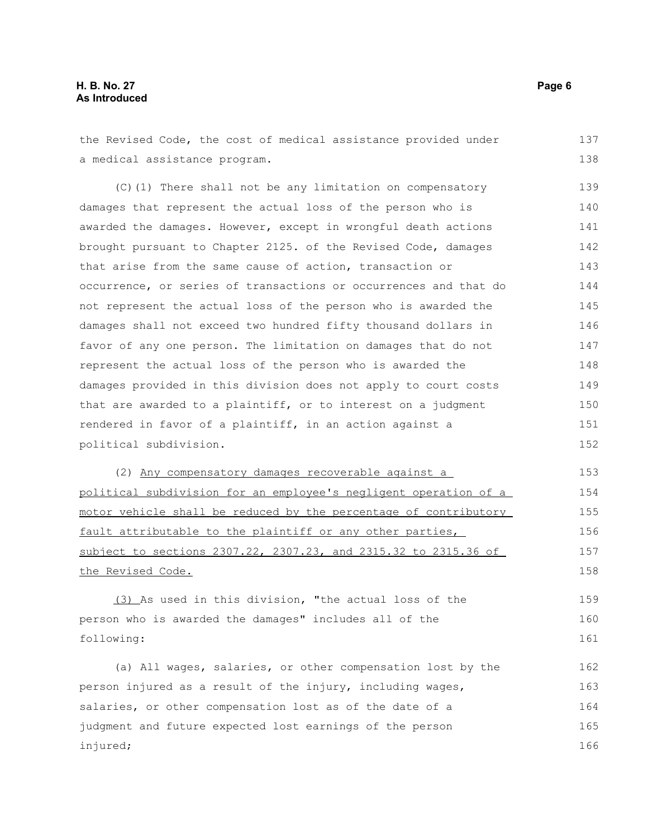### **H. B. No. 27 Page 6 As Introduced**

the Revised Code, the cost of medical assistance provided under a medical assistance program. (C)(1) There shall not be any limitation on compensatory damages that represent the actual loss of the person who is awarded the damages. However, except in wrongful death actions brought pursuant to Chapter 2125. of the Revised Code, damages that arise from the same cause of action, transaction or occurrence, or series of transactions or occurrences and that do not represent the actual loss of the person who is awarded the damages shall not exceed two hundred fifty thousand dollars in favor of any one person. The limitation on damages that do not represent the actual loss of the person who is awarded the damages provided in this division does not apply to court costs that are awarded to a plaintiff, or to interest on a judgment rendered in favor of a plaintiff, in an action against a political subdivision. (2) Any compensatory damages recoverable against a political subdivision for an employee's negligent operation of a motor vehicle shall be reduced by the percentage of contributory fault attributable to the plaintiff or any other parties, subject to sections 2307.22, 2307.23, and 2315.32 to 2315.36 of the Revised Code. (3) As used in this division, "the actual loss of the person who is awarded the damages" includes all of the following: (a) All wages, salaries, or other compensation lost by the person injured as a result of the injury, including wages, salaries, or other compensation lost as of the date of a judgment and future expected lost earnings of the person injured; 137 138 139 140 141 142 143 144 145 146 147 148 149 150 151 152 153 154 155 156 157 158 159 160 161 162 163 164 165 166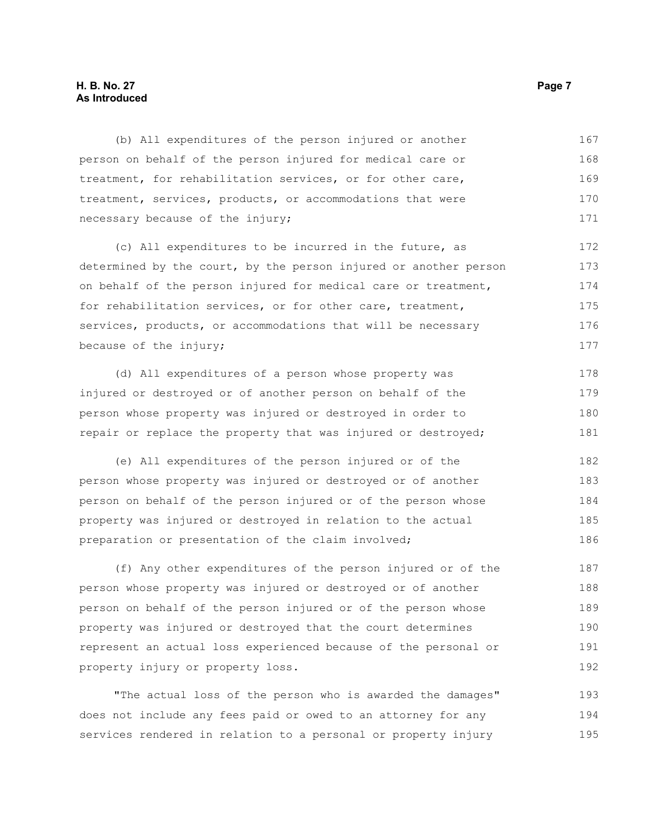#### **H. B. No. 27 Page 7 As Introduced**

(b) All expenditures of the person injured or another person on behalf of the person injured for medical care or treatment, for rehabilitation services, or for other care, treatment, services, products, or accommodations that were necessary because of the injury; 167 168 169 170 171

(c) All expenditures to be incurred in the future, as determined by the court, by the person injured or another person on behalf of the person injured for medical care or treatment, for rehabilitation services, or for other care, treatment, services, products, or accommodations that will be necessary because of the injury; 172 173 174 175 176 177

(d) All expenditures of a person whose property was injured or destroyed or of another person on behalf of the person whose property was injured or destroyed in order to repair or replace the property that was injured or destroyed; 178 179 180 181

(e) All expenditures of the person injured or of the person whose property was injured or destroyed or of another person on behalf of the person injured or of the person whose property was injured or destroyed in relation to the actual preparation or presentation of the claim involved; 182 183 184 185 186

(f) Any other expenditures of the person injured or of the person whose property was injured or destroyed or of another person on behalf of the person injured or of the person whose property was injured or destroyed that the court determines represent an actual loss experienced because of the personal or property injury or property loss. 187 188 189 190 191 192

"The actual loss of the person who is awarded the damages" does not include any fees paid or owed to an attorney for any services rendered in relation to a personal or property injury 193 194 195